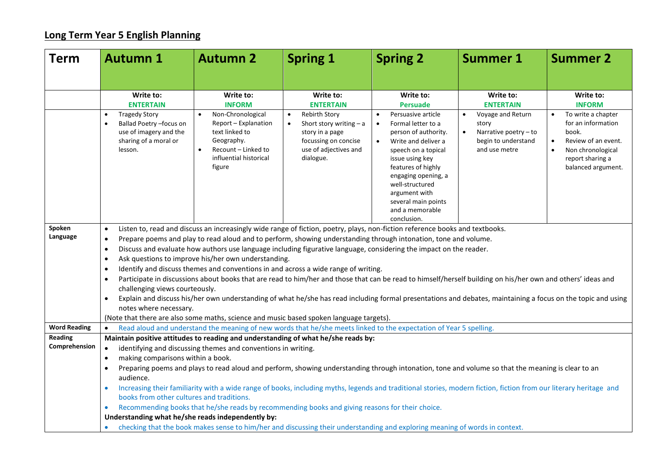## **Long Term Year 5 English Planning**

| <b>Term</b>                     | <b>Autumn 1</b>                                                                                                                                                                                                                                                                                                                                                                                                                                                                                                                                                                                                                                                                                                                                                                                                                                                                                                                                                                                                                    | <b>Autumn 2</b>                                                                                                                      | <b>Spring 1</b>                                                                                                                                 | <b>Spring 2</b>                                                                                                                                                                                                                                                                                       | <b>Summer 1</b>                                                                             | <b>Summer 2</b>                                                                                                                                                   |  |  |
|---------------------------------|------------------------------------------------------------------------------------------------------------------------------------------------------------------------------------------------------------------------------------------------------------------------------------------------------------------------------------------------------------------------------------------------------------------------------------------------------------------------------------------------------------------------------------------------------------------------------------------------------------------------------------------------------------------------------------------------------------------------------------------------------------------------------------------------------------------------------------------------------------------------------------------------------------------------------------------------------------------------------------------------------------------------------------|--------------------------------------------------------------------------------------------------------------------------------------|-------------------------------------------------------------------------------------------------------------------------------------------------|-------------------------------------------------------------------------------------------------------------------------------------------------------------------------------------------------------------------------------------------------------------------------------------------------------|---------------------------------------------------------------------------------------------|-------------------------------------------------------------------------------------------------------------------------------------------------------------------|--|--|
|                                 |                                                                                                                                                                                                                                                                                                                                                                                                                                                                                                                                                                                                                                                                                                                                                                                                                                                                                                                                                                                                                                    |                                                                                                                                      |                                                                                                                                                 |                                                                                                                                                                                                                                                                                                       |                                                                                             |                                                                                                                                                                   |  |  |
|                                 | Write to:<br><b>ENTERTAIN</b>                                                                                                                                                                                                                                                                                                                                                                                                                                                                                                                                                                                                                                                                                                                                                                                                                                                                                                                                                                                                      | Write to:<br><b>INFORM</b>                                                                                                           | Write to:<br><b>ENTERTAIN</b>                                                                                                                   | Write to:<br><b>Persuade</b>                                                                                                                                                                                                                                                                          | Write to:<br><b>ENTERTAIN</b>                                                               | Write to:<br><b>INFORM</b>                                                                                                                                        |  |  |
|                                 | <b>Tragedy Story</b><br>Ballad Poetry - focus on<br>use of imagery and the<br>sharing of a moral or<br>lesson.                                                                                                                                                                                                                                                                                                                                                                                                                                                                                                                                                                                                                                                                                                                                                                                                                                                                                                                     | Non-Chronological<br>Report - Explanation<br>text linked to<br>Geography.<br>Recount - Linked to<br>influential historical<br>figure | <b>Rebirth Story</b><br>$\bullet$<br>Short story writing $- a$<br>story in a page<br>focussing on concise<br>use of adjectives and<br>dialogue. | Persuasive article<br>$\bullet$<br>Formal letter to a<br>$\bullet$<br>person of authority.<br>Write and deliver a<br>speech on a topical<br>issue using key<br>features of highly<br>engaging opening, a<br>well-structured<br>argument with<br>several main points<br>and a memorable<br>conclusion. | Voyage and Return<br>story<br>Narrative poetry - to<br>begin to understand<br>and use metre | To write a chapter<br>for an information<br>book.<br>Review of an event.<br>$\bullet$<br>Non chronological<br>$\bullet$<br>report sharing a<br>balanced argument. |  |  |
| Spoken<br>Language              | Listen to, read and discuss an increasingly wide range of fiction, poetry, plays, non-fiction reference books and textbooks.<br>$\bullet$<br>Prepare poems and play to read aloud and to perform, showing understanding through intonation, tone and volume.<br>$\bullet$<br>Discuss and evaluate how authors use language including figurative language, considering the impact on the reader.<br>Ask questions to improve his/her own understanding.<br>Identify and discuss themes and conventions in and across a wide range of writing.<br>Participate in discussions about books that are read to him/her and those that can be read to himself/herself building on his/her own and others' ideas and<br>challenging views courteously.<br>Explain and discuss his/her own understanding of what he/she has read including formal presentations and debates, maintaining a focus on the topic and using<br>notes where necessary.<br>(Note that there are also some maths, science and music based spoken language targets). |                                                                                                                                      |                                                                                                                                                 |                                                                                                                                                                                                                                                                                                       |                                                                                             |                                                                                                                                                                   |  |  |
| <b>Word Reading</b>             | $\bullet$                                                                                                                                                                                                                                                                                                                                                                                                                                                                                                                                                                                                                                                                                                                                                                                                                                                                                                                                                                                                                          |                                                                                                                                      | Read aloud and understand the meaning of new words that he/she meets linked to the expectation of Year 5 spelling.                              |                                                                                                                                                                                                                                                                                                       |                                                                                             |                                                                                                                                                                   |  |  |
| <b>Reading</b><br>Comprehension | Maintain positive attitudes to reading and understanding of what he/she reads by:<br>identifying and discussing themes and conventions in writing.<br>$\bullet$<br>making comparisons within a book.<br>$\bullet$<br>Preparing poems and plays to read aloud and perform, showing understanding through intonation, tone and volume so that the meaning is clear to an                                                                                                                                                                                                                                                                                                                                                                                                                                                                                                                                                                                                                                                             |                                                                                                                                      |                                                                                                                                                 |                                                                                                                                                                                                                                                                                                       |                                                                                             |                                                                                                                                                                   |  |  |
|                                 | audience.<br>Increasing their familiarity with a wide range of books, including myths, legends and traditional stories, modern fiction, fiction from our literary heritage and<br>books from other cultures and traditions.<br>Recommending books that he/she reads by recommending books and giving reasons for their choice.<br>$\bullet$                                                                                                                                                                                                                                                                                                                                                                                                                                                                                                                                                                                                                                                                                        |                                                                                                                                      |                                                                                                                                                 |                                                                                                                                                                                                                                                                                                       |                                                                                             |                                                                                                                                                                   |  |  |
|                                 | Understanding what he/she reads independently by:<br>checking that the book makes sense to him/her and discussing their understanding and exploring meaning of words in context.                                                                                                                                                                                                                                                                                                                                                                                                                                                                                                                                                                                                                                                                                                                                                                                                                                                   |                                                                                                                                      |                                                                                                                                                 |                                                                                                                                                                                                                                                                                                       |                                                                                             |                                                                                                                                                                   |  |  |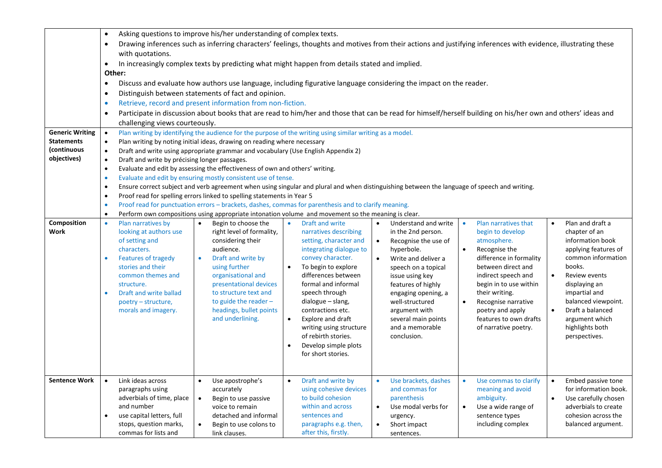| <b>Generic Writing</b>                          | $\bullet$<br>$\bullet$<br>with quotations.<br>$\bullet$<br>Other:<br>$\bullet$<br>$\bullet$<br>$\bullet$<br>$\bullet$<br>challenging views courteously.<br>$\bullet$                                                                                           | Asking questions to improve his/her understanding of complex texts.<br>Drawing inferences such as inferring characters' feelings, thoughts and motives from their actions and justifying inferences with evidence, illustrating these<br>In increasingly complex texts by predicting what might happen from details stated and implied.<br>Discuss and evaluate how authors use language, including figurative language considering the impact on the reader.<br>Distinguish between statements of fact and opinion.<br>Retrieve, record and present information from non-fiction.<br>Participate in discussion about books that are read to him/her and those that can be read for himself/herself building on his/her own and others' ideas and<br>Plan writing by identifying the audience for the purpose of the writing using similar writing as a model. |                                                                                                                                                                                                                                                                                                                                                                                       |                                                                                                                                                                                                                                                                                                                                    |                                                                                                                                                                                                                                                                                           |                                                                                                                                                                                                                                                                                             |
|-------------------------------------------------|----------------------------------------------------------------------------------------------------------------------------------------------------------------------------------------------------------------------------------------------------------------|----------------------------------------------------------------------------------------------------------------------------------------------------------------------------------------------------------------------------------------------------------------------------------------------------------------------------------------------------------------------------------------------------------------------------------------------------------------------------------------------------------------------------------------------------------------------------------------------------------------------------------------------------------------------------------------------------------------------------------------------------------------------------------------------------------------------------------------------------------------|---------------------------------------------------------------------------------------------------------------------------------------------------------------------------------------------------------------------------------------------------------------------------------------------------------------------------------------------------------------------------------------|------------------------------------------------------------------------------------------------------------------------------------------------------------------------------------------------------------------------------------------------------------------------------------------------------------------------------------|-------------------------------------------------------------------------------------------------------------------------------------------------------------------------------------------------------------------------------------------------------------------------------------------|---------------------------------------------------------------------------------------------------------------------------------------------------------------------------------------------------------------------------------------------------------------------------------------------|
| <b>Statements</b><br>(continuous<br>objectives) | $\bullet$<br>$\bullet$<br>$\bullet$<br>$\bullet$<br>$\bullet$<br>$\bullet$<br>$\bullet$                                                                                                                                                                        | Plan writing by noting initial ideas, drawing on reading where necessary<br>Draft and write using appropriate grammar and vocabulary (Use English Appendix 2)<br>Draft and write by précising longer passages.<br>Evaluate and edit by assessing the effectiveness of own and others' writing.<br>Evaluate and edit by ensuring mostly consistent use of tense.<br>Ensure correct subject and verb agreement when using singular and plural and when distinguishing between the language of speech and writing.<br>Proof read for spelling errors linked to spelling statements in Year 5<br>Proof read for punctuation errors - brackets, dashes, commas for parenthesis and to clarify meaning.<br>Perform own compositions using appropriate intonation volume and movement so the meaning is clear.                                                        |                                                                                                                                                                                                                                                                                                                                                                                       |                                                                                                                                                                                                                                                                                                                                    |                                                                                                                                                                                                                                                                                           |                                                                                                                                                                                                                                                                                             |
| Composition<br><b>Work</b>                      | Plan narratives by<br>$\bullet$<br>looking at authors use<br>of setting and<br>characters.<br>Features of tragedy<br>stories and their<br>common themes and<br>structure.<br>Draft and write ballad<br>$\bullet$<br>poetry – structure,<br>morals and imagery. | Begin to choose the<br>$\bullet$<br>right level of formality,<br>considering their<br>audience.<br>Draft and write by<br>using further<br>organisational and<br>presentational devices<br>to structure text and<br>to guide the reader $-$<br>headings, bullet points<br>and underlining.                                                                                                                                                                                                                                                                                                                                                                                                                                                                                                                                                                      | Draft and write<br>$\bullet$<br>narratives describing<br>setting, character and<br>integrating dialogue to<br>convey character.<br>To begin to explore<br>differences between<br>formal and informal<br>speech through<br>dialogue - slang,<br>contractions etc.<br>Explore and draft<br>writing using structure<br>of rebirth stories.<br>Develop simple plots<br>for short stories. | Understand and write<br>$\bullet$<br>in the 2nd person.<br>Recognise the use of<br>$\bullet$<br>hyperbole.<br>$\bullet$<br>Write and deliver a<br>speech on a topical<br>issue using key<br>features of highly<br>engaging opening, a<br>well-structured<br>argument with<br>several main points<br>and a memorable<br>conclusion. | Plan narratives that<br>begin to develop<br>atmosphere.<br>Recognise the<br>difference in formality<br>between direct and<br>indirect speech and<br>begin in to use within<br>their writing.<br>Recognise narrative<br>poetry and apply<br>features to own drafts<br>of narrative poetry. | Plan and draft a<br>chapter of an<br>information book<br>applying features of<br>common information<br>books.<br>Review events<br>$\bullet$<br>displaying an<br>impartial and<br>balanced viewpoint.<br>Draft a balanced<br>$\bullet$<br>argument which<br>highlights both<br>perspectives. |
| <b>Sentence Work</b>                            | Link ideas across<br>$\bullet$<br>paragraphs using<br>adverbials of time, place<br>and number<br>use capital letters, full<br>stops, question marks,<br>commas for lists and                                                                                   | Use apostrophe's<br>$\bullet$<br>accurately<br>Begin to use passive<br>$\bullet$<br>voice to remain<br>detached and informal<br>Begin to use colons to<br>$\bullet$<br>link clauses.                                                                                                                                                                                                                                                                                                                                                                                                                                                                                                                                                                                                                                                                           | Draft and write by<br>using cohesive devices<br>to build cohesion<br>within and across<br>sentences and<br>paragraphs e.g. then,<br>after this, firstly.                                                                                                                                                                                                                              | $\bullet$<br>Use brackets, dashes<br>and commas for<br>parenthesis<br>$\bullet$<br>Use modal verbs for<br>urgency.<br>Short impact<br>sentences.                                                                                                                                                                                   | Use commas to clarify<br>$\bullet$<br>meaning and avoid<br>ambiguity.<br>Use a wide range of<br>$\bullet$<br>sentence types<br>including complex                                                                                                                                          | Embed passive tone<br>$\bullet$<br>for information book.<br>Use carefully chosen<br>$\bullet$<br>adverbials to create<br>cohesion across the<br>balanced argument.                                                                                                                          |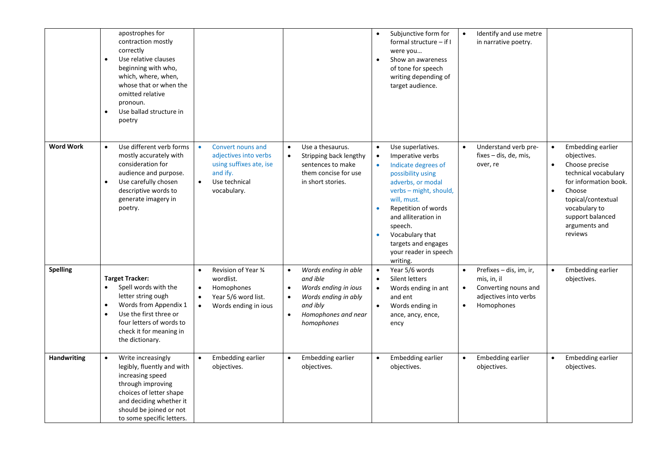|                    | apostrophes for<br>contraction mostly<br>correctly<br>Use relative clauses<br>beginning with who,<br>which, where, when,<br>whose that or when the<br>omitted relative<br>pronoun.<br>Use ballad structure in<br>poetry     |                                                                                                                                             |                                                                                                                                                                                       | Subjunctive form for<br>$\bullet$<br>formal structure $-$ if I<br>were you<br>Show an awareness<br>$\bullet$<br>of tone for speech<br>writing depending of<br>target audience.                                                                                                                                                                           | Identify and use metre<br>$\bullet$<br>in narrative poetry.                                                                     |                                                                                                                                                                                                                                             |
|--------------------|-----------------------------------------------------------------------------------------------------------------------------------------------------------------------------------------------------------------------------|---------------------------------------------------------------------------------------------------------------------------------------------|---------------------------------------------------------------------------------------------------------------------------------------------------------------------------------------|----------------------------------------------------------------------------------------------------------------------------------------------------------------------------------------------------------------------------------------------------------------------------------------------------------------------------------------------------------|---------------------------------------------------------------------------------------------------------------------------------|---------------------------------------------------------------------------------------------------------------------------------------------------------------------------------------------------------------------------------------------|
| <b>Word Work</b>   | Use different verb forms<br>$\bullet$<br>mostly accurately with<br>consideration for<br>audience and purpose.<br>Use carefully chosen<br>$\bullet$<br>descriptive words to<br>generate imagery in<br>poetry.                | Convert nouns and<br>$\bullet$<br>adjectives into verbs<br>using suffixes ate, ise<br>and ify.<br>Use technical<br>$\bullet$<br>vocabulary. | Use a thesaurus.<br>$\bullet$<br>Stripping back lengthy<br>$\bullet$<br>sentences to make<br>them concise for use<br>in short stories.                                                | Use superlatives.<br>$\bullet$<br>Imperative verbs<br>$\bullet$<br>Indicate degrees of<br>$\bullet$<br>possibility using<br>adverbs, or modal<br>verbs - might, should,<br>will, must.<br>Repetition of words<br>$\bullet$<br>and alliteration in<br>speech.<br>Vocabulary that<br>$\bullet$<br>targets and engages<br>your reader in speech<br>writing. | Understand verb pre-<br>$fixes - dis, de, mis,$<br>over, re                                                                     | Embedding earlier<br>$\bullet$<br>objectives.<br>Choose precise<br>$\bullet$<br>technical vocabulary<br>for information book.<br>Choose<br>$\bullet$<br>topical/contextual<br>vocabulary to<br>support balanced<br>arguments and<br>reviews |
| Spelling           | <b>Target Tracker:</b><br>Spell words with the<br>letter string ough<br>Words from Appendix 1<br>$\bullet$<br>Use the first three or<br>$\bullet$<br>four letters of words to<br>check it for meaning in<br>the dictionary. | Revision of Year 3⁄4<br>wordlist.<br>Homophones<br>$\bullet$<br>Year 5/6 word list.<br>Words ending in ious<br>$\bullet$                    | Words ending in able<br>$\bullet$<br>and ible<br>Words ending in ious<br>$\bullet$<br>Words ending in ably<br>$\bullet$<br>and ibly<br>Homophones and near<br>$\bullet$<br>homophones | Year 5/6 words<br>$\bullet$<br>Silent letters<br>$\bullet$<br>Words ending in ant<br>$\bullet$<br>and ent<br>Words ending in<br>$\bullet$<br>ance, ancy, ence,<br>ency                                                                                                                                                                                   | Prefixes - dis, im, ir,<br>mis, in, il<br>Converting nouns and<br>$\bullet$<br>adjectives into verbs<br>Homophones<br>$\bullet$ | Embedding earlier<br>objectives.                                                                                                                                                                                                            |
| <b>Handwriting</b> | Write increasingly<br>$\bullet$<br>legibly, fluently and with<br>increasing speed<br>through improving<br>choices of letter shape<br>and deciding whether it<br>should be joined or not<br>to some specific letters.        | Embedding earlier<br>$\bullet$<br>objectives.                                                                                               | Embedding earlier<br>$\bullet$<br>objectives.                                                                                                                                         | Embedding earlier<br>$\bullet$<br>objectives.                                                                                                                                                                                                                                                                                                            | Embedding earlier<br>objectives.                                                                                                | Embedding earlier<br>$\bullet$<br>objectives.                                                                                                                                                                                               |